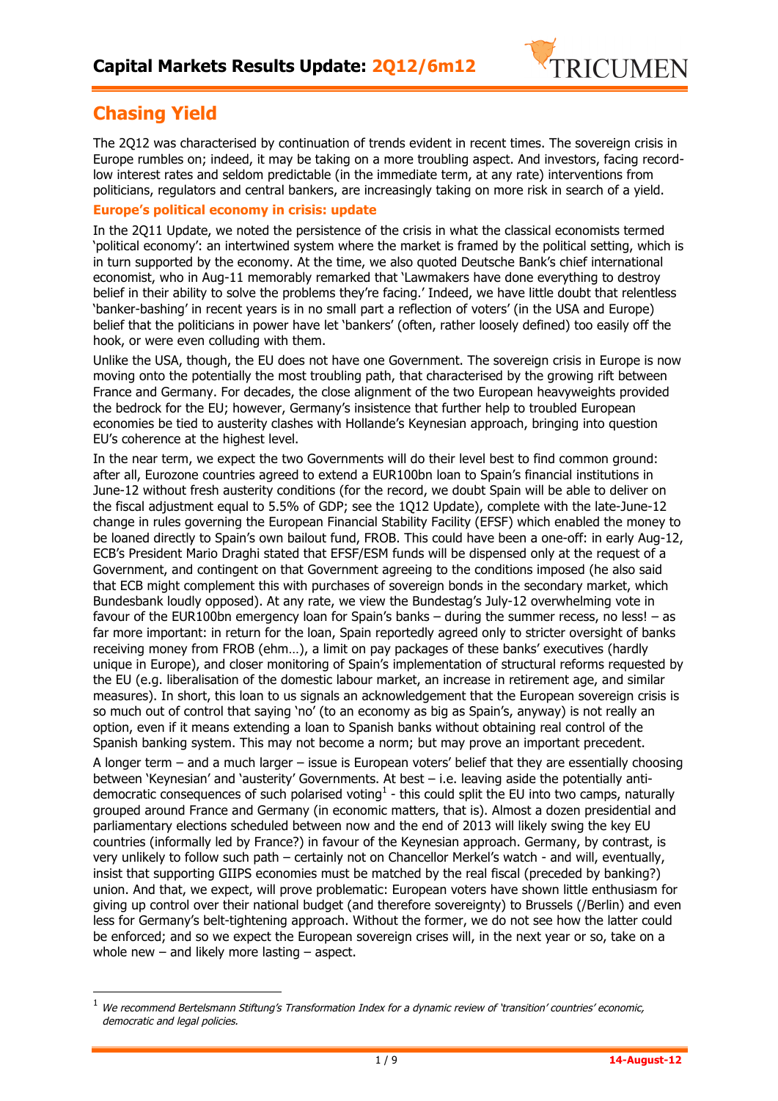

# **Chasing Yield**

 $\overline{a}$ 

The 2Q12 was characterised by continuation of trends evident in recent times. The sovereign crisis in Europe rumbles on; indeed, it may be taking on a more troubling aspect. And investors, facing recordlow interest rates and seldom predictable (in the immediate term, at any rate) interventions from politicians, regulators and central bankers, are increasingly taking on more risk in search of a yield.

### **Europe's political economy in crisis: update**

In the 2Q11 Update, we noted the persistence of the crisis in what the classical economists termed 'political economy': an intertwined system where the market is framed by the political setting, which is in turn supported by the economy. At the time, we also quoted Deutsche Bank's chief international economist, who in Aug-11 memorably remarked that 'Lawmakers have done everything to destroy belief in their ability to solve the problems they're facing.' Indeed, we have little doubt that relentless 'banker-bashing' in recent years is in no small part a reflection of voters' (in the USA and Europe) belief that the politicians in power have let 'bankers' (often, rather loosely defined) too easily off the hook, or were even colluding with them.

Unlike the USA, though, the EU does not have one Government. The sovereign crisis in Europe is now moving onto the potentially the most troubling path, that characterised by the growing rift between France and Germany. For decades, the close alignment of the two European heavyweights provided the bedrock for the EU; however, Germany's insistence that further help to troubled European economies be tied to austerity clashes with Hollande's Keynesian approach, bringing into question EU's coherence at the highest level.

In the near term, we expect the two Governments will do their level best to find common ground: after all, Eurozone countries agreed to extend a EUR100bn loan to Spain's financial institutions in June-12 without fresh austerity conditions (for the record, we doubt Spain will be able to deliver on the fiscal adjustment equal to 5.5% of GDP; see the 1Q12 Update), complete with the late-June-12 change in rules governing the European Financial Stability Facility (EFSF) which enabled the money to be loaned directly to Spain's own bailout fund, FROB. This could have been a one-off: in early Aug-12, ECB's President Mario Draghi stated that EFSF/ESM funds will be dispensed only at the request of a Government, and contingent on that Government agreeing to the conditions imposed (he also said that ECB might complement this with purchases of sovereign bonds in the secondary market, which Bundesbank loudly opposed). At any rate, we view the Bundestag's July-12 overwhelming vote in favour of the EUR100bn emergency loan for Spain's banks – during the summer recess, no less! – as far more important: in return for the loan, Spain reportedly agreed only to stricter oversight of banks receiving money from FROB (ehm…), a limit on pay packages of these banks' executives (hardly unique in Europe), and closer monitoring of Spain's implementation of structural reforms requested by the EU (e.g. liberalisation of the domestic labour market, an increase in retirement age, and similar measures). In short, this loan to us signals an acknowledgement that the European sovereign crisis is so much out of control that saying 'no' (to an economy as big as Spain's, anyway) is not really an option, even if it means extending a loan to Spanish banks without obtaining real control of the Spanish banking system. This may not become a norm; but may prove an important precedent.

A longer term – and a much larger – issue is European voters' belief that they are essentially choosing between 'Keynesian' and 'austerity' Governments. At best – i.e. leaving aside the potentially antidemocratic consequences of such polarised voting<sup>1</sup> - this could split the EU into two camps, naturally grouped around France and Germany (in economic matters, that is). Almost a dozen presidential and parliamentary elections scheduled between now and the end of 2013 will likely swing the key EU countries (informally led by France?) in favour of the Keynesian approach. Germany, by contrast, is very unlikely to follow such path – certainly not on Chancellor Merkel's watch - and will, eventually, insist that supporting GIIPS economies must be matched by the real fiscal (preceded by banking?) union. And that, we expect, will prove problematic: European voters have shown little enthusiasm for giving up control over their national budget (and therefore sovereignty) to Brussels (/Berlin) and even less for Germany's belt-tightening approach. Without the former, we do not see how the latter could be enforced; and so we expect the European sovereign crises will, in the next year or so, take on a whole new – and likely more lasting – aspect.

 $1$  We recommend Bertelsmann Stiftung's Transformation Index for a dynamic review of 'transition' countries' economic, democratic and legal policies.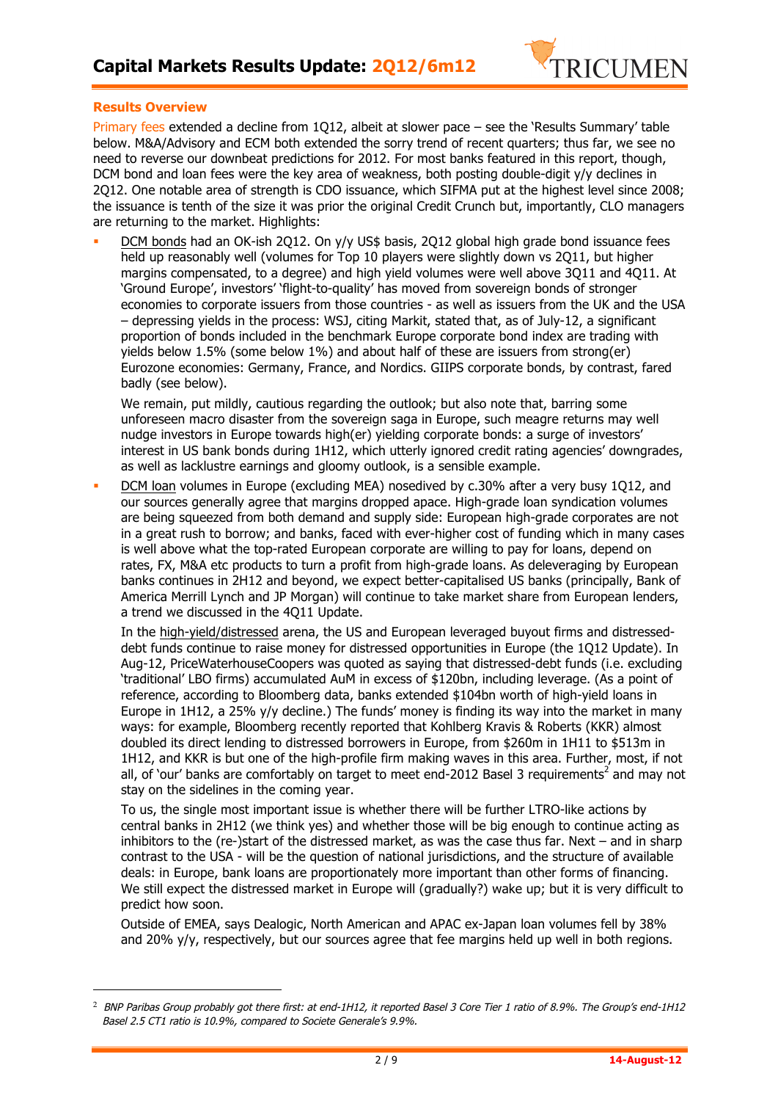

### **Results Overview**

 $\overline{a}$ 

Primary fees extended a decline from 1Q12, albeit at slower pace – see the 'Results Summary' table below. M&A/Advisory and ECM both extended the sorry trend of recent quarters; thus far, we see no need to reverse our downbeat predictions for 2012. For most banks featured in this report, though, DCM bond and loan fees were the key area of weakness, both posting double-digit y/y declines in 2Q12. One notable area of strength is CDO issuance, which SIFMA put at the highest level since 2008; the issuance is tenth of the size it was prior the original Credit Crunch but, importantly, CLO managers are returning to the market. Highlights:

DCM bonds had an OK-ish 2O12. On y/y US\$ basis, 2O12 global high grade bond issuance fees held up reasonably well (volumes for Top 10 players were slightly down vs 2Q11, but higher margins compensated, to a degree) and high yield volumes were well above 3Q11 and 4Q11. At 'Ground Europe', investors' 'flight-to-quality' has moved from sovereign bonds of stronger economies to corporate issuers from those countries - as well as issuers from the UK and the USA – depressing yields in the process: WSJ, citing Markit, stated that, as of July-12, a significant proportion of bonds included in the benchmark Europe corporate bond index are trading with yields below 1.5% (some below 1%) and about half of these are issuers from strong(er) Eurozone economies: Germany, France, and Nordics. GIIPS corporate bonds, by contrast, fared badly (see below).

We remain, put mildly, cautious regarding the outlook; but also note that, barring some unforeseen macro disaster from the sovereign saga in Europe, such meagre returns may well nudge investors in Europe towards high(er) yielding corporate bonds: a surge of investors' interest in US bank bonds during 1H12, which utterly ignored credit rating agencies' downgrades, as well as lacklustre earnings and gloomy outlook, is a sensible example.

§ DCM loan volumes in Europe (excluding MEA) nosedived by c.30% after a very busy 1Q12, and our sources generally agree that margins dropped apace. High-grade loan syndication volumes are being squeezed from both demand and supply side: European high-grade corporates are not in a great rush to borrow; and banks, faced with ever-higher cost of funding which in many cases is well above what the top-rated European corporate are willing to pay for loans, depend on rates, FX, M&A etc products to turn a profit from high-grade loans. As deleveraging by European banks continues in 2H12 and beyond, we expect better-capitalised US banks (principally, Bank of America Merrill Lynch and JP Morgan) will continue to take market share from European lenders, a trend we discussed in the 4Q11 Update.

In the high-yield/distressed arena, the US and European leveraged buyout firms and distresseddebt funds continue to raise money for distressed opportunities in Europe (the 1Q12 Update). In Aug-12, PriceWaterhouseCoopers was quoted as saying that distressed-debt funds (i.e. excluding 'traditional' LBO firms) accumulated AuM in excess of \$120bn, including leverage. (As a point of reference, according to Bloomberg data, banks extended \$104bn worth of high-yield loans in Europe in 1H12, a 25% y/y decline.) The funds' money is finding its way into the market in many ways: for example, Bloomberg recently reported that Kohlberg Kravis & Roberts (KKR) almost doubled its direct lending to distressed borrowers in Europe, from \$260m in 1H11 to \$513m in 1H12, and KKR is but one of the high-profile firm making waves in this area. Further, most, if not all, of 'our' banks are comfortably on target to meet end-2012 Basel 3 requirements<sup>2</sup> and may not stay on the sidelines in the coming year.

To us, the single most important issue is whether there will be further LTRO-like actions by central banks in 2H12 (we think yes) and whether those will be big enough to continue acting as inhibitors to the (re-)start of the distressed market, as was the case thus far. Next – and in sharp contrast to the USA - will be the question of national jurisdictions, and the structure of available deals: in Europe, bank loans are proportionately more important than other forms of financing. We still expect the distressed market in Europe will (gradually?) wake up; but it is very difficult to predict how soon.

Outside of EMEA, says Dealogic, North American and APAC ex-Japan loan volumes fell by 38% and 20% y/y, respectively, but our sources agree that fee margins held up well in both regions.

<sup>&</sup>lt;sup>2</sup> BNP Paribas Group probably got there first: at end-1H12, it reported Basel 3 Core Tier 1 ratio of 8.9%. The Group's end-1H12 Basel 2.5 CT1 ratio is 10.9%, compared to Societe Generale's 9.9%.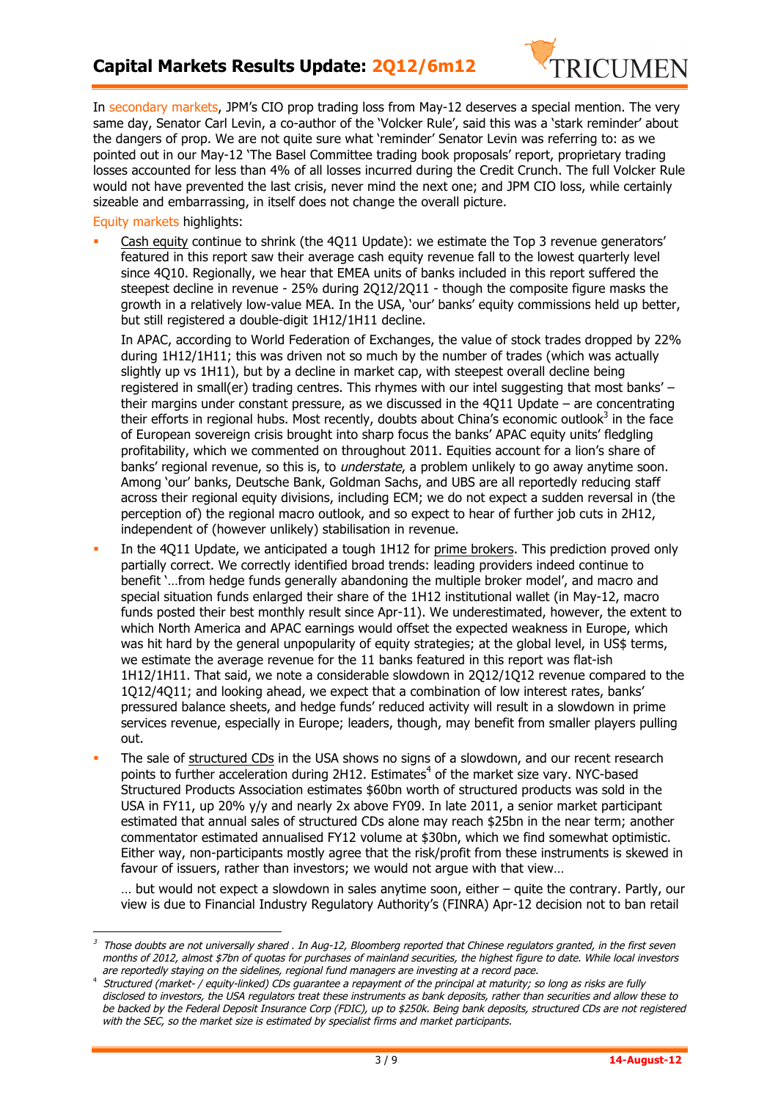

In secondary markets, JPM's CIO prop trading loss from May-12 deserves a special mention. The very same day, Senator Carl Levin, a co-author of the 'Volcker Rule', said this was a 'stark reminder' about the dangers of prop. We are not quite sure what 'reminder' Senator Levin was referring to: as we pointed out in our May-12 'The Basel Committee trading book proposals' report, proprietary trading losses accounted for less than 4% of all losses incurred during the Credit Crunch. The full Volcker Rule would not have prevented the last crisis, never mind the next one; and JPM CIO loss, while certainly sizeable and embarrassing, in itself does not change the overall picture.

Equity markets highlights:

 $\overline{a}$ 

Cash equity continue to shrink (the 4O11 Update): we estimate the Top 3 revenue generators' featured in this report saw their average cash equity revenue fall to the lowest quarterly level since 4Q10. Regionally, we hear that EMEA units of banks included in this report suffered the steepest decline in revenue - 25% during 2Q12/2Q11 - though the composite figure masks the growth in a relatively low-value MEA. In the USA, 'our' banks' equity commissions held up better, but still registered a double-digit 1H12/1H11 decline.

In APAC, according to World Federation of Exchanges, the value of stock trades dropped by 22% during 1H12/1H11; this was driven not so much by the number of trades (which was actually slightly up vs 1H11), but by a decline in market cap, with steepest overall decline being registered in small(er) trading centres. This rhymes with our intel suggesting that most banks' – their margins under constant pressure, as we discussed in the 4Q11 Update – are concentrating their efforts in regional hubs. Most recently, doubts about China's economic outlook<sup>3</sup> in the face of European sovereign crisis brought into sharp focus the banks' APAC equity units' fledgling profitability, which we commented on throughout 2011. Equities account for a lion's share of banks' regional revenue, so this is, to *understate*, a problem unlikely to go away anytime soon. Among 'our' banks, Deutsche Bank, Goldman Sachs, and UBS are all reportedly reducing staff across their regional equity divisions, including ECM; we do not expect a sudden reversal in (the perception of) the regional macro outlook, and so expect to hear of further job cuts in 2H12, independent of (however unlikely) stabilisation in revenue.

- In the 4Q11 Update, we anticipated a tough 1H12 for prime brokers. This prediction proved only partially correct. We correctly identified broad trends: leading providers indeed continue to benefit '…from hedge funds generally abandoning the multiple broker model', and macro and special situation funds enlarged their share of the 1H12 institutional wallet (in May-12, macro funds posted their best monthly result since Apr-11). We underestimated, however, the extent to which North America and APAC earnings would offset the expected weakness in Europe, which was hit hard by the general unpopularity of equity strategies; at the global level, in US\$ terms, we estimate the average revenue for the 11 banks featured in this report was flat-ish 1H12/1H11. That said, we note a considerable slowdown in 2Q12/1Q12 revenue compared to the 1Q12/4Q11; and looking ahead, we expect that a combination of low interest rates, banks' pressured balance sheets, and hedge funds' reduced activity will result in a slowdown in prime services revenue, especially in Europe; leaders, though, may benefit from smaller players pulling out.
- The sale of structured CDs in the USA shows no signs of a slowdown, and our recent research points to further acceleration during  $2H12$ . Estimates<sup>4</sup> of the market size vary. NYC-based Structured Products Association estimates \$60bn worth of structured products was sold in the USA in FY11, up 20% y/y and nearly 2x above FY09. In late 2011, a senior market participant estimated that annual sales of structured CDs alone may reach \$25bn in the near term; another commentator estimated annualised FY12 volume at \$30bn, which we find somewhat optimistic. Either way, non-participants mostly agree that the risk/profit from these instruments is skewed in favour of issuers, rather than investors; we would not argue with that view…

… but would not expect a slowdown in sales anytime soon, either – quite the contrary. Partly, our view is due to Financial Industry Regulatory Authority's (FINRA) Apr-12 decision not to ban retail

Those doubts are not universally shared . In Aug-12, Bloomberg reported that Chinese regulators granted, in the first seven months of 2012, almost \$7bn of quotas for purchases of mainland securities, the highest figure to date. While local investors are reportedly staying on the sidelines, regional fund managers are investing at a record pace.

<sup>4</sup> Structured (market- / equity-linked) CDs guarantee a repayment of the principal at maturity; so long as risks are fully disclosed to investors, the USA regulators treat these instruments as bank deposits, rather than securities and allow these to be backed by the Federal Deposit Insurance Corp (FDIC), up to \$250k. Being bank deposits, structured CDs are not registered with the SEC, so the market size is estimated by specialist firms and market participants.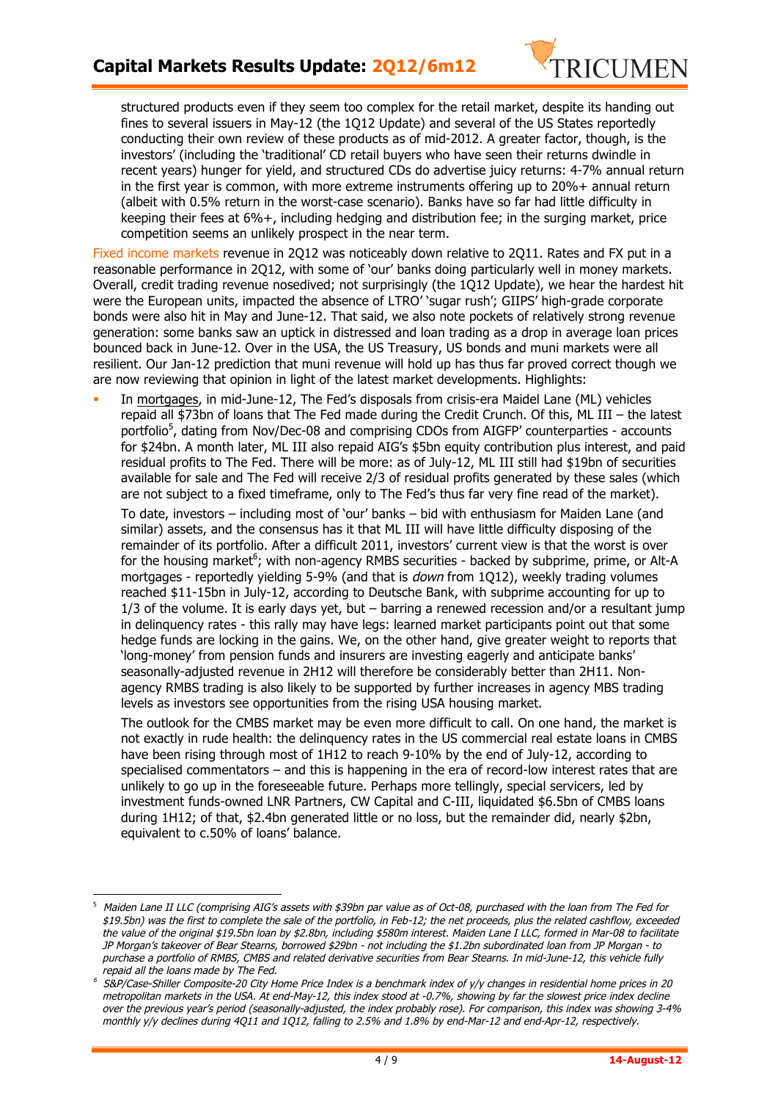

structured products even if they seem too complex for the retail market, despite its handing out fines to several issuers in May-12 (the 1Q12 Update) and several of the US States reportedly conducting their own review of these products as of mid-2012. A greater factor, though, is the investors' (including the 'traditional' CD retail buyers who have seen their returns dwindle in recent years) hunger for yield, and structured CDs do advertise juicy returns: 4-7% annual return in the first year is common, with more extreme instruments offering up to 20%+ annual return (albeit with 0.5% return in the worst-case scenario). Banks have so far had little difficulty in keeping their fees at 6%+, including hedging and distribution fee; in the surging market, price competition seems an unlikely prospect in the near term.

Fixed income markets revenue in 2012 was noticeably down relative to 2011. Rates and FX put in a reasonable performance in 2Q12, with some of 'our' banks doing particularly well in money markets. Overall, credit trading revenue nosedived; not surprisingly (the 1Q12 Update), we hear the hardest hit were the European units, impacted the absence of LTRO' 'sugar rush'; GIIPS' high-grade corporate bonds were also hit in May and June-12. That said, we also note pockets of relatively strong revenue generation: some banks saw an uptick in distressed and loan trading as a drop in average loan prices bounced back in June-12. Over in the USA, the US Treasury, US bonds and muni markets were all resilient. Our Jan-12 prediction that muni revenue will hold up has thus far proved correct though we are now reviewing that opinion in light of the latest market developments. Highlights:

In mortgages, in mid-June-12, The Fed's disposals from crisis-era Maidel Lane (ML) vehicles repaid all \$73bn of loans that The Fed made during the Credit Crunch. Of this, ML III – the latest portfolio<sup>5</sup>, dating from Nov/Dec-08 and comprising CDOs from AIGFP' counterparties - accounts for \$24bn. A month later, ML III also repaid AIG's \$5bn equity contribution plus interest, and paid residual profits to The Fed. There will be more: as of July-12, ML III still had \$19bn of securities available for sale and The Fed will receive 2/3 of residual profits generated by these sales (which are not subject to a fixed timeframe, only to The Fed's thus far very fine read of the market).

To date, investors – including most of 'our' banks – bid with enthusiasm for Maiden Lane (and similar) assets, and the consensus has it that ML III will have little difficulty disposing of the remainder of its portfolio. After a difficult 2011, investors' current view is that the worst is over for the housing market<sup>6</sup>; with non-agency RMBS securities - backed by subprime, prime, or Alt-A mortgages - reportedly yielding 5-9% (and that is down from 1Q12), weekly trading volumes reached \$11-15bn in July-12, according to Deutsche Bank, with subprime accounting for up to 1/3 of the volume. It is early days yet, but – barring a renewed recession and/or a resultant jump in delinquency rates - this rally may have legs: learned market participants point out that some hedge funds are locking in the gains. We, on the other hand, give greater weight to reports that 'long-money' from pension funds and insurers are investing eagerly and anticipate banks' seasonally-adjusted revenue in 2H12 will therefore be considerably better than 2H11. Nonagency RMBS trading is also likely to be supported by further increases in agency MBS trading levels as investors see opportunities from the rising USA housing market.

The outlook for the CMBS market may be even more difficult to call. On one hand, the market is not exactly in rude health: the delinquency rates in the US commercial real estate loans in CMBS have been rising through most of 1H12 to reach 9-10% by the end of July-12, according to specialised commentators – and this is happening in the era of record-low interest rates that are unlikely to go up in the foreseeable future. Perhaps more tellingly, special servicers, led by investment funds-owned LNR Partners, CW Capital and C-III, liquidated \$6.5bn of CMBS loans during 1H12; of that, \$2.4bn generated little or no loss, but the remainder did, nearly \$2bn, equivalent to c.50% of loans' balance.

 $\overline{a}$ 

<sup>5</sup> Maiden Lane II LLC (comprising AIG's assets with \$39bn par value as of Oct-08, purchased with the loan from The Fed for \$19.5bn) was the first to complete the sale of the portfolio, in Feb-12; the net proceeds, plus the related cashflow, exceeded the value of the original \$19.5bn loan by \$2.8bn, including \$580m interest. Maiden Lane I LLC, formed in Mar-08 to facilitate JP Morgan's takeover of Bear Stearns, borrowed \$29bn - not including the \$1.2bn subordinated loan from JP Morgan - to purchase a portfolio of RMBS, CMBS and related derivative securities from Bear Stearns. In mid-June-12, this vehicle fully repaid all the loans made by The Fed.

<sup>6</sup> S&P/Case-Shiller Composite-20 City Home Price Index is a benchmark index of y/y changes in residential home prices in 20 metropolitan markets in the USA. At end-May-12, this index stood at -0.7%, showing by far the slowest price index decline over the previous year's period (seasonally-adjusted, the index probably rose). For comparison, this index was showing 3-4% monthly y/y declines during 4Q11 and 1Q12, falling to 2.5% and 1.8% by end-Mar-12 and end-Apr-12, respectively.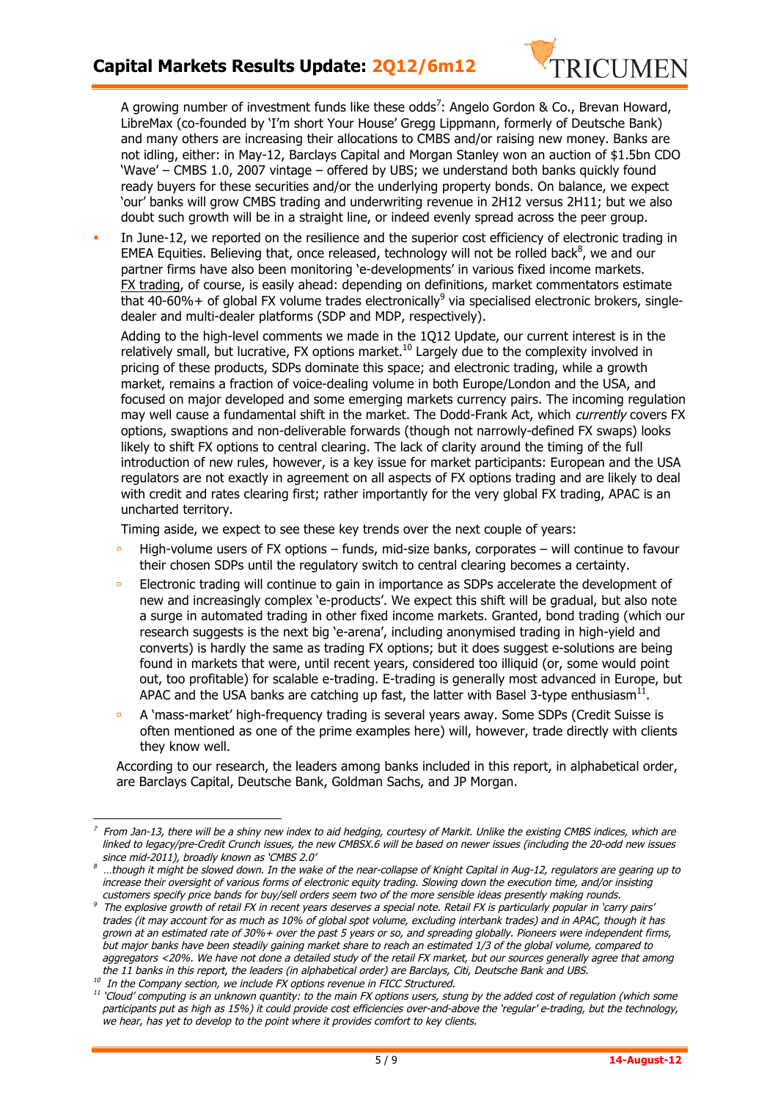

A growing number of investment funds like these odds<sup>7</sup>: Angelo Gordon & Co., Brevan Howard, LibreMax (co-founded by 'I'm short Your House' Gregg Lippmann, formerly of Deutsche Bank) and many others are increasing their allocations to CMBS and/or raising new money. Banks are not idling, either: in May-12, Barclays Capital and Morgan Stanley won an auction of \$1.5bn CDO 'Wave' – CMBS 1.0, 2007 vintage – offered by UBS; we understand both banks quickly found ready buyers for these securities and/or the underlying property bonds. On balance, we expect 'our' banks will grow CMBS trading and underwriting revenue in 2H12 versus 2H11; but we also doubt such growth will be in a straight line, or indeed evenly spread across the peer group.

In June-12, we reported on the resilience and the superior cost efficiency of electronic trading in EMEA Equities. Believing that, once released, technology will not be rolled back<sup>8</sup>, we and our partner firms have also been monitoring 'e-developments' in various fixed income markets. FX trading, of course, is easily ahead: depending on definitions, market commentators estimate that 40-60%+ of global FX volume trades electronically<sup>9</sup> via specialised electronic brokers, singledealer and multi-dealer platforms (SDP and MDP, respectively).

Adding to the high-level comments we made in the 1Q12 Update, our current interest is in the relatively small, but lucrative, FX options market.<sup>10</sup> Largely due to the complexity involved in pricing of these products, SDPs dominate this space; and electronic trading, while a growth market, remains a fraction of voice-dealing volume in both Europe/London and the USA, and focused on major developed and some emerging markets currency pairs. The incoming regulation may well cause a fundamental shift in the market. The Dodd-Frank Act, which *currently* covers FX options, swaptions and non-deliverable forwards (though not narrowly-defined FX swaps) looks likely to shift FX options to central clearing. The lack of clarity around the timing of the full introduction of new rules, however, is a key issue for market participants: European and the USA regulators are not exactly in agreement on all aspects of FX options trading and are likely to deal with credit and rates clearing first; rather importantly for the very global FX trading, APAC is an uncharted territory.

Timing aside, we expect to see these key trends over the next couple of years:

- **EX** High-volume users of FX options funds, mid-size banks, corporates will continue to favour their chosen SDPs until the regulatory switch to central clearing becomes a certainty.
- **Electronic trading will continue to gain in importance as SDPs accelerate the development of** new and increasingly complex 'e-products'. We expect this shift will be gradual, but also note a surge in automated trading in other fixed income markets. Granted, bond trading (which our research suggests is the next big 'e-arena', including anonymised trading in high-yield and converts) is hardly the same as trading FX options; but it does suggest e-solutions are being found in markets that were, until recent years, considered too illiquid (or, some would point out, too profitable) for scalable e-trading. E-trading is generally most advanced in Europe, but APAC and the USA banks are catching up fast, the latter with Basel 3-type enthusiasm $^{11}$ .
- ú A 'mass-market' high-frequency trading is several years away. Some SDPs (Credit Suisse is often mentioned as one of the prime examples here) will, however, trade directly with clients they know well.

According to our research, the leaders among banks included in this report, in alphabetical order, are Barclays Capital, Deutsche Bank, Goldman Sachs, and JP Morgan.

 $\overline{a}$ 

<sup>7</sup> From Jan-13, there will be a shiny new index to aid hedging, courtesy of Markit. Unlike the existing CMBS indices, which are linked to legacy/pre-Credit Crunch issues, the new CMBSX.6 will be based on newer issues (including the 20-odd new issues since mid-2011), broadly known as 'CMBS 2.0'

<sup>8 …</sup>though it might be slowed down. In the wake of the near-collapse of Knight Capital in Aug-12, regulators are gearing up to increase their oversight of various forms of electronic equity trading. Slowing down the execution time, and/or insisting customers specify price bands for buy/sell orders seem two of the more sensible ideas presently making rounds.

<sup>9</sup> The explosive growth of retail FX in recent years deserves a special note. Retail FX is particularly popular in 'carry pairs' trades (it may account for as much as 10% of global spot volume, excluding interbank trades) and in APAC, though it has grown at an estimated rate of 30%+ over the past 5 years or so, and spreading globally. Pioneers were independent firms, but major banks have been steadily gaining market share to reach an estimated 1/3 of the global volume, compared to aggregators <20%. We have not done a detailed study of the retail FX market, but our sources generally agree that among the 11 banks in this report, the leaders (in alphabetical order) are Barclays, Citi, Deutsche Bank and UBS.<br>In the Company section, we include FX options revenue in FICC Structured.

 $11$  'Cloud' computing is an unknown quantity: to the main FX options users, stung by the added cost of regulation (which some participants put as high as 15%) it could provide cost efficiencies over-and-above the 'regular' e-trading, but the technology, we hear, has yet to develop to the point where it provides comfort to key clients.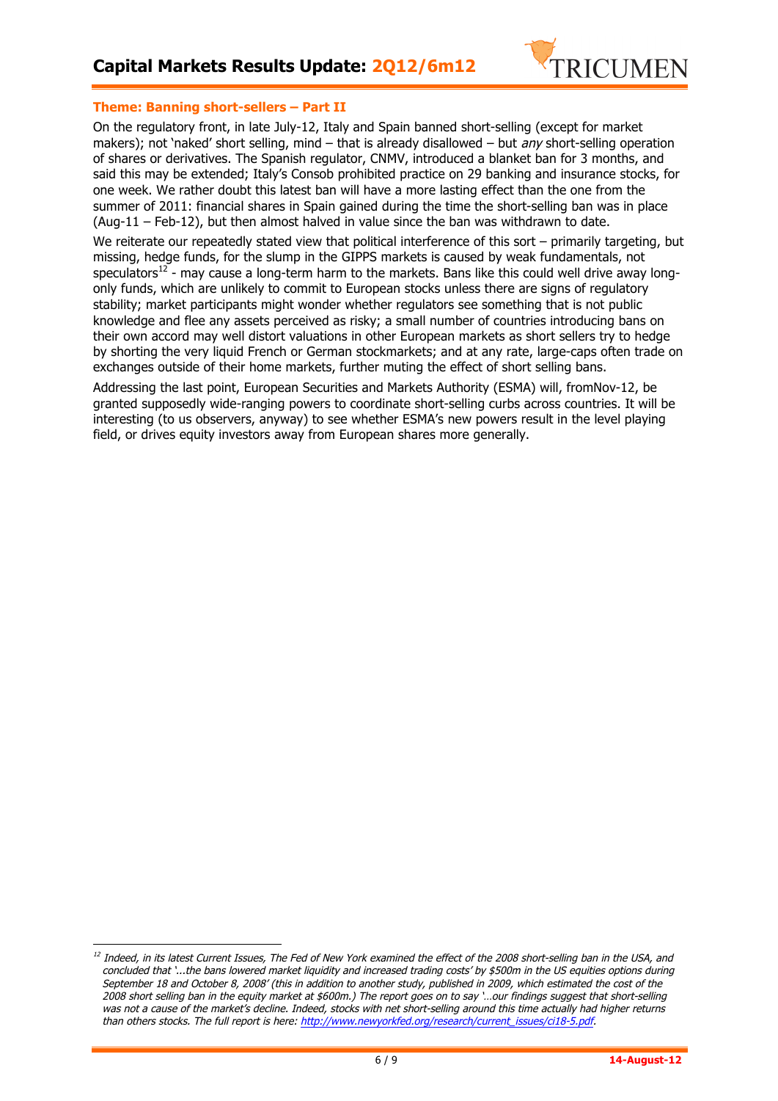

### **Theme: Banning short-sellers – Part II**

 $\overline{a}$ 

On the regulatory front, in late July-12, Italy and Spain banned short-selling (except for market makers); not 'naked' short selling, mind – that is already disallowed – but *any* short-selling operation of shares or derivatives. The Spanish regulator, CNMV, introduced a blanket ban for 3 months, and said this may be extended; Italy's Consob prohibited practice on 29 banking and insurance stocks, for one week. We rather doubt this latest ban will have a more lasting effect than the one from the summer of 2011: financial shares in Spain gained during the time the short-selling ban was in place (Aug-11 – Feb-12), but then almost halved in value since the ban was withdrawn to date.

We reiterate our repeatedly stated view that political interference of this sort – primarily targeting, but missing, hedge funds, for the slump in the GIPPS markets is caused by weak fundamentals, not speculators<sup>12</sup> - may cause a long-term harm to the markets. Bans like this could well drive away longonly funds, which are unlikely to commit to European stocks unless there are signs of regulatory stability; market participants might wonder whether regulators see something that is not public knowledge and flee any assets perceived as risky; a small number of countries introducing bans on their own accord may well distort valuations in other European markets as short sellers try to hedge by shorting the very liquid French or German stockmarkets; and at any rate, large-caps often trade on exchanges outside of their home markets, further muting the effect of short selling bans.

Addressing the last point, European Securities and Markets Authority (ESMA) will, fromNov-12, be granted supposedly wide-ranging powers to coordinate short-selling curbs across countries. It will be interesting (to us observers, anyway) to see whether ESMA's new powers result in the level playing field, or drives equity investors away from European shares more generally.

 $^{12}$  Indeed, in its latest Current Issues, The Fed of New York examined the effect of the 2008 short-selling ban in the USA, and concluded that '...the bans lowered market liquidity and increased trading costs' by \$500m in the US equities options during September 18 and October 8, 2008' (this in addition to another study, published in 2009, which estimated the cost of the 2008 short selling ban in the equity market at \$600m.) The report goes on to say '…our findings suggest that short-selling was not a cause of the market's decline. Indeed, stocks with net short-selling around this time actually had higher returns than others stocks. The full report is here: http://www.newyorkfed.org/research/current\_issues/ci18-5.pdf.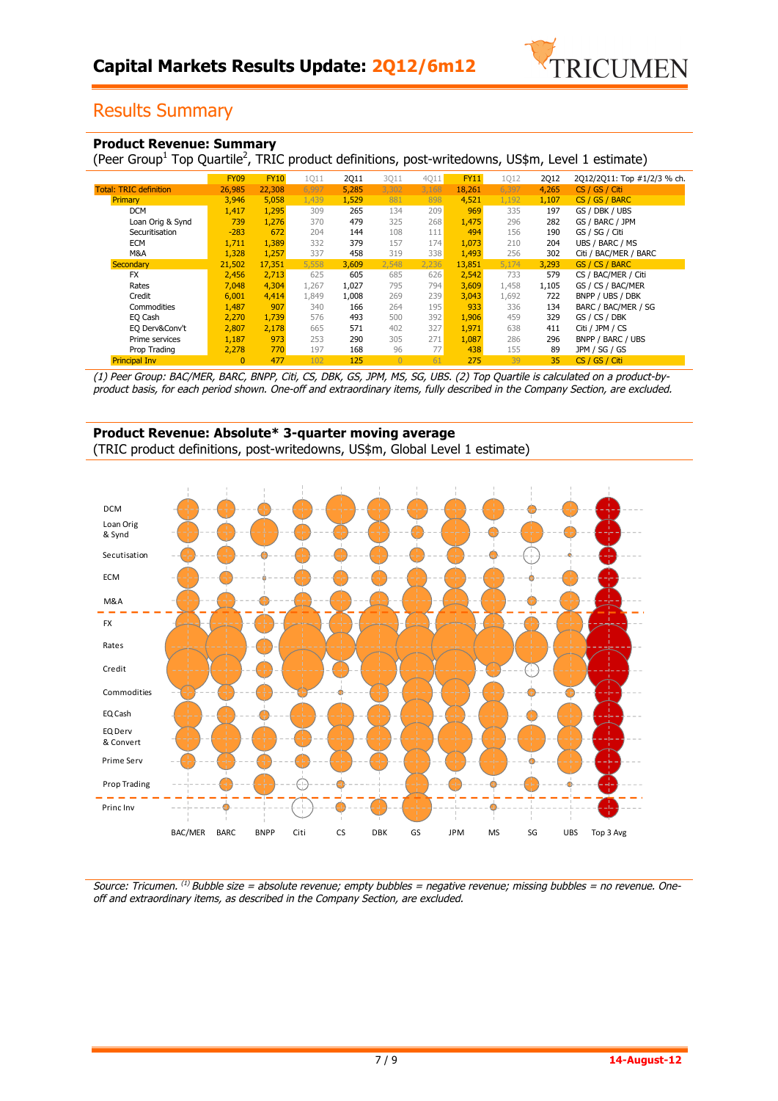

## Results Summary

**Product Revenue: Summary**

#### (Peer Group<sup>1</sup> Top Quartile<sup>2</sup>, TRIC product definitions, post-writedowns, US\$m, Level 1 estimate) **FY09 FY10** 1Q11 2Q11 3Q11 4Q11 FY11 1Q12 2Q12 2Q12/2Q11: Top #1/2/3 % ch.<br>6,985 22,308 6,997 5,285 3,302 3,168 18.261 6,397 4,265 CS / GS / Citi Total: TRIC definition 26,985 22,308 6,997 5,285 3,302 3,168 18,261 6,397 4,265 CS / GS / Citi Primary 3,946 5,058 1,439 1,529 881 898 4,521 1,192 1,107 CS / GS / BARC **Primary 19 1,5946 5,058 1,439 1,529 881 898 4,521 1,192 1,107 CS / GS / BARC DCM 1,417 1,295** 309 265 134 209 969 335 197 GS / DBK / UBS Loan Orig & Synd 239 1,276 370 479 325 268 1,475 296 282 GS / BARC / JPM Securitisation -283 672 204 144 108 111 494 156 190 GS / SG / Citi ECM 1,711 1,389 332 379 157 174 1,073 210 204 UBS / BARC / MS<br>M&A 1,328 1,257 337 458 319 338 1,493 256 302 Citi / BAC/MER / M&A 1,328 1,257 337 458 319 338 1,493 256 302 Citi / BAC/MER / BARC<br>11,502 17,351 5,558 3,609 2,548 2,236 13,851 5,174 3,293 GS / CS / BARC Secondary 21,502 17,351 5,558 3,609 2,548 2,236 13,851 5,174 3,293 GS / CS / BARC FX 2,456 2,713 625 605 685 626 2,542 733 579 CS / BAC/MER / Citi<br>Rates 7,048 4,304 1,267 1,027 795 794 3,609 1,458 1,105 GS / CS / BAC/MER Rates **7,048 4,304** 1,267 1,027 795 794 3,609 1,458 1,105 GS / CS / BAC/MER<br>Credit 6,001 4,414 1,849 1,008 269 239 3,043 1,692 722 BNPP / UBS / DBK BNPP / UBS / DBK **Commodities 1,487 907** 340 166 264 195 933 336 134 BARC / BAC/MER / SG EQ Cash 2,270 1,739 576 493 500 392 1,906 459 329 GS / CS / DBK EQ Derv&Conv't 2,807 2,178 665 571 402 327 1,971 638 411 Citi / JPM / CS Prime services 1,187 973 253 290 305 271 1,087 286 296 BNPP / BARC / UBS<br>Prop Trading 2,278 770 197 168 96 77 438 155 89 JPM / SG / GS Prop Trading 2,278 770 197 168 96 77 438 155 89 JPM / SG / GS Principal Inv 0 477 102 125 0 61 275 39 35 CS / GS / Citi

(1) Peer Group: BAC/MER, BARC, BNPP, Citi, CS, DBK, GS, JPM, MS, SG, UBS. (2) Top Quartile is calculated on a product-byproduct basis, for each period shown. One-off and extraordinary items, fully described in the Company Section, are excluded.

## **Product Revenue: Absolute\* 3-quarter moving average**

(TRIC product definitions, post-writedowns, US\$m, Global Level 1 estimate)



Source: Tricumen.  $^{(1)}$  Bubble size = absolute revenue; empty bubbles = negative revenue; missing bubbles = no revenue. Oneoff and extraordinary items, as described in the Company Section, are excluded.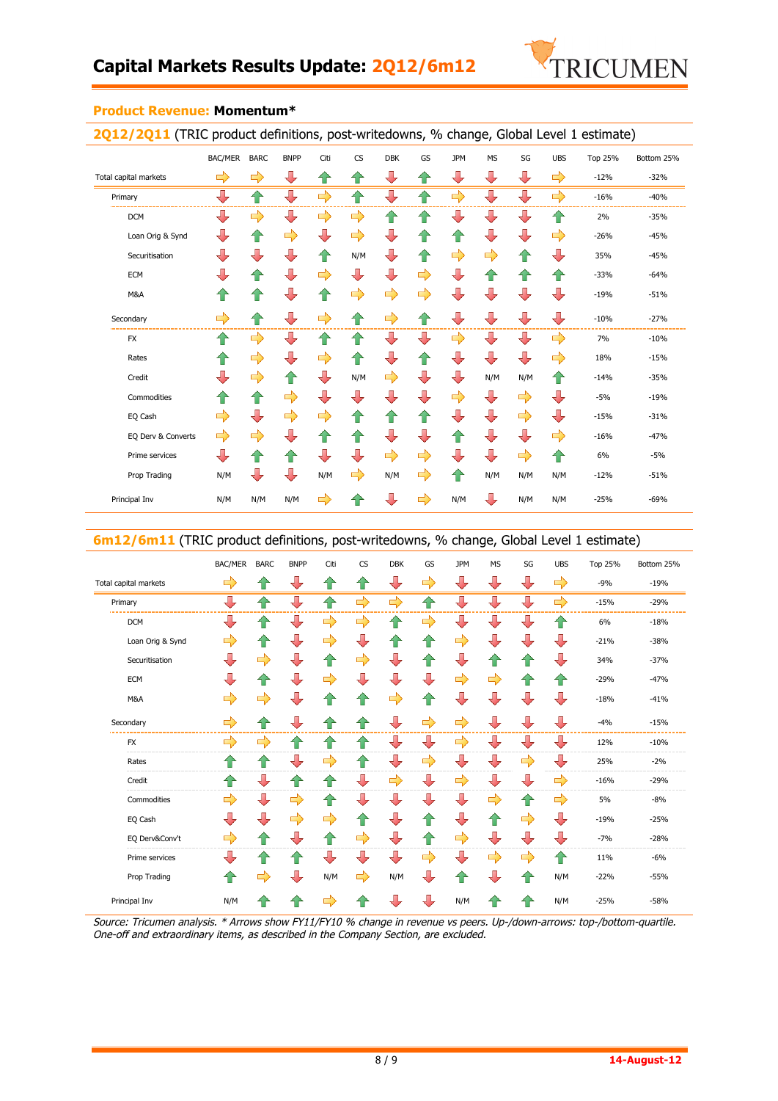

| 2012/2011 (TRIC product definitions, post-writedowns, % change, Global Level 1 estimate) |                         |               |                         |               |                          |                         |                         |                         |                         |                          |                               |                |            |
|------------------------------------------------------------------------------------------|-------------------------|---------------|-------------------------|---------------|--------------------------|-------------------------|-------------------------|-------------------------|-------------------------|--------------------------|-------------------------------|----------------|------------|
|                                                                                          | <b>BAC/MER</b>          | <b>BARC</b>   | <b>BNPP</b>             | Citi          | $\mathsf{CS}\phantom{0}$ | <b>DBK</b>              | GS                      | <b>JPM</b>              | <b>MS</b>               | SG                       | <b>UBS</b>                    | <b>Top 25%</b> | Bottom 25% |
| Total capital markets                                                                    | $\Rightarrow$           | $\Rightarrow$ | $\bigoplus$             | ⇑             | ⇑                        | ⊕                       | ⇑                       | ⇩                       | ⇩                       | $\overline{\mathbb{L}}$  | $\Rightarrow$                 | $-12%$         | $-32%$     |
| Primary                                                                                  | ⇩                       | 企             | ⊕                       | $\Rightarrow$ | $\hat{\mathbf{r}}$       | ⇩                       | $\bigoplus$             | $\Rightarrow$           | ⇩                       | ⇩                        | $\Rightarrow$                 | $-16%$         | $-40%$     |
| <b>DCM</b>                                                                               | ⊕                       | $\Rightarrow$ | ⇩                       | $\Rightarrow$ | $\Rightarrow$            | 企                       | ⇑                       | ⇩                       | J                       | $\overline{\mathbb{L}}$  | ⇑                             | 2%             | $-35%$     |
| Loan Orig & Synd                                                                         | $\overline{\mathbb{L}}$ | ⇑             | $\Rightarrow$           | ⊕             | $\Rightarrow$            | ⊕                       | 企                       | 企                       | ⇩                       | $\overline{\phantom{a}}$ | $\Rightarrow$                 | $-26%$         | $-45%$     |
| Securitisation                                                                           | ⇩                       | ⊕             | $\overline{\mathbb{U}}$ | ⇑             | N/M                      | $\overline{\mathbb{L}}$ | ⇑                       | $\Rightarrow$           | $\Rightarrow$           | ⇑                        | $\overline{\mathbf{r}}$       | 35%            | $-45%$     |
| <b>ECM</b>                                                                               | ⇩                       | ⇑             | ⊕                       | $\Rightarrow$ | ⊕                        | ⊕                       | $\Rightarrow$           | $\overline{\mathbb{U}}$ | 企                       | ⇧                        | ⇑                             | $-33%$         | $-64%$     |
| M&A                                                                                      | ⇑                       | ⇑             | $\bigcup$               | ⇑             | $\Rightarrow$            | $\Rightarrow$           | $\Rightarrow$           | ⇩                       | ⇩                       | ⊕                        | $\frac{\partial}{\partial x}$ | $-19%$         | $-51%$     |
| Secondary                                                                                |                         | $\bigcirc$    | ⇩                       |               | ⇑                        | $\Rightarrow$           | ⇧                       | J                       | ⇩                       | ┺                        | $\overline{\mathbf{r}}$       | $-10%$         | $-27%$     |
| <b>FX</b>                                                                                | ⇑                       | $\Rightarrow$ | ⊕                       | 个             | ⇑                        | $\sqrt{2}$              | $\overline{\mathbf{L}}$ | $\Rightarrow$           | $\sqrt{\frac{1}{2}}$    | $\overline{\mathbb{L}}$  | $\Rightarrow$                 | 7%             | $-10%$     |
| Rates                                                                                    | 企                       | $\Rightarrow$ | ⇩                       | ⇨             | ⇑                        | ⊕                       | ⇑                       | ⇩                       | $\overline{\mathbb{L}}$ | $\overline{\phantom{a}}$ | $\Rightarrow$                 | 18%            | $-15%$     |
| Credit                                                                                   | ⇩                       | $\Rightarrow$ | 企                       | ⊕             | N/M                      | $\Rightarrow$           | $\overline{\mathbb{L}}$ | $\overline{\mathbf{L}}$ | N/M                     | N/M                      | ⇑                             | $-14%$         | $-35%$     |
| Commodities                                                                              | 企                       | 企             | $\Rightarrow$           | ┺             | $\sqrt{2}$               | $\overline{\mathbb{L}}$ | ⊕                       | $\Rightarrow$           | ⇩                       | $\Rightarrow$            | $\overline{\mathbf{r}}$       | $-5%$          | $-19%$     |
| EQ Cash                                                                                  | $\Rightarrow$           | ⇩             | $\Rightarrow$           | ⇨             | ⇑                        | 1ì                      | 企                       | ⇩                       | ⇩                       | $\Rightarrow$            | ┺                             | $-15%$         | $-31%$     |
| EQ Derv & Converts                                                                       | $\Rightarrow$           | $\Rightarrow$ | ⊕                       | 个             | ⇧                        | ⊕                       | ⊕                       | ⇑                       | ⇩                       | ⊕                        | $\Rightarrow$                 | $-16%$         | $-47%$     |
| Prime services                                                                           | ⇩                       | 企             | ⇑                       | ┺             | $\overline{\mathbb{L}}$  | $\Rightarrow$           | $\Rightarrow$           | ⇩                       | ⇩                       | $\Rightarrow$            | $\bigoplus$                   | 6%             | $-5%$      |
| Prop Trading                                                                             | N/M                     | ⇩             | ⊕                       | N/M           | $\Rightarrow$            | N/M                     | $\Rightarrow$           | 一                       | N/M                     | N/M                      | N/M                           | $-12%$         | $-51%$     |
| Principal Inv                                                                            | N/M                     | N/M           | N/M                     | ٣,            |                          |                         |                         | N/M                     | ⇩                       | N/M                      | N/M                           | $-25%$         | $-69%$     |

### **Product Revenue: Momentum\***

### 6m12/6m11 (TRIC product definitions, post-writedowns, % change, Global Level 1 estimate)

|                       | BAC/MER                 | <b>BARC</b>    | <b>BNPP</b>             | Citi          | <b>CS</b>               | <b>DBK</b>               | GS                       | <b>JPM</b>              | <b>MS</b>                     | SG                            | <b>UBS</b>              | Top 25% | Bottom 25% |  |
|-----------------------|-------------------------|----------------|-------------------------|---------------|-------------------------|--------------------------|--------------------------|-------------------------|-------------------------------|-------------------------------|-------------------------|---------|------------|--|
| Total capital markets | $\Rightarrow$           | ⇑              | ┺                       | ⇧             | 仆                       | $\overline{\mathbb{L}}$  | $\Rightarrow$            | ┺                       | $\overline{\mathbf{r}}$       | ┺                             | $\Rightarrow$           | $-9%$   | $-19%$     |  |
| Primary               | $\overline{\mathbb{L}}$ | $\hat{v}$      | ⇩                       | $\bigoplus$   | $\Rightarrow$           | $\Rightarrow$            | $\bigcap$                | ⇩                       | $\overline{\phantom{a}}$      | $\overline{\mathbf{r}}$       | $\Rightarrow$           | $-15%$  | $-29%$     |  |
| <b>DCM</b>            | ₩                       | ⇑              | $\overline{\mathbf{L}}$ | $\Rightarrow$ | $\Rightarrow$           | ⇑                        | $\Rightarrow$            | ⊕                       | J                             | ₩                             | 42                      | 6%      | $-18%$     |  |
| Loan Orig & Synd      | $\Rightarrow$           | ⇑              | ⊕                       | $\Rightarrow$ | ⊕                       | 企                        | ⇑                        | $\Rightarrow$           | ⊕                             | ┺                             | ⇩                       | $-21%$  | $-38%$     |  |
| Securitisation        | ⊕                       | $\Rightarrow$  | $\overline{\mathbb{L}}$ | ⇑             | $\Rightarrow$           | $\overline{\mathbf{r}}$  | ⇑                        | ⇩                       | $\textcolor{red}{\textbf{1}}$ | $\textcolor{red}{\textbf{1}}$ | ⊕                       | 34%     | $-37%$     |  |
| <b>ECM</b>            | ⊕                       | ⇑              | ⊕                       | $\Rightarrow$ | ⇩                       | ⇩                        | J                        | $\Rightarrow$           | $\Rightarrow$                 | 企                             | 企                       | $-29%$  | $-47%$     |  |
| M&A                   | $\Rightarrow$           | $\Rightarrow$  | ⊕                       | 企             | ⇑                       | $\Rightarrow$            | ⇑                        | $\overline{\mathbf{L}}$ | J                             |                               | ⇩                       | $-18%$  | $-41%$     |  |
| Secondary             | $\Rightarrow$           | ⇑              | ⇩                       | 企             | <b>A</b>                | ⊕                        | $\Rightarrow$            | $\Rightarrow$           | $\overline{\mathbb{L}}$       | $\overline{\mathbb{L}}$       | ⊕                       | $-4%$   | $-15%$     |  |
| <b>FX</b>             | =>                      | $\Rightarrow$  | ⇑                       | ⇧             | ∕⊩                      | ┺                        | $\overline{\mathbf{r}}$  | $\Rightarrow$           | $\overline{\mathbf{r}}$       | ┺                             | ⊕                       | 12%     | $-10%$     |  |
| Rates                 | ▜▛                      | 仆              | ┺                       | $\Rightarrow$ | ⇑                       | $\overline{\mathbf{r}}$  | $\Rightarrow$            | $\overline{\mathbb{L}}$ | $\overline{\mathbf{r}}$       | $\Rightarrow$                 | $\sqrt{2}$              | 25%     | $-2%$      |  |
| Credit                | 仆                       | ⊕              | 仆                       | 企             | $\overline{\mathbb{L}}$ | $\Rightarrow$            | $\overline{\phantom{a}}$ | $\Rightarrow$           | $\overline{\mathbf{r}}$       | ┺                             | $\Rightarrow$           | $-16%$  | $-29%$     |  |
| Commodities           | $\Rightarrow$           | ⊕              | $\Rightarrow$           | ⇑             | $\overline{\mathbf{r}}$ | $\overline{\mathbf{r}}$  | ⊕                        | ┺                       | $\Rightarrow$                 | 企                             | $\Rightarrow$           | 5%      | $-8%$      |  |
| EQ Cash               | ⊕                       | ⊕              | $\Rightarrow$           | $\Rightarrow$ | ⇑                       | $\overline{\phantom{a}}$ | 仐                        |                         | 企                             | $\Rightarrow$                 | ⇩                       | $-19%$  | $-25%$     |  |
| EQ Derv&Conv't        | $\Rightarrow$           | ⇑              | ⊕                       | 企             | $\Rightarrow$           | $\overline{\mathbb{L}}$  | 企                        | $\Rightarrow$           | $\overline{\mathbf{r}}$       | $\overline{\mathbb{L}}$       | $\overline{\mathbb{L}}$ | $-7%$   | $-28%$     |  |
| Prime services        | ┺                       | <mark>⊹</mark> | ⇑                       | $\sqrt{2}$    | $\overline{\mathbf{r}}$ | ┺                        | $\Rightarrow$            | ┺                       | $\Rightarrow$                 | $\Rightarrow$                 | 合                       | 11%     | $-6%$      |  |
| Prop Trading          | ⇑                       |                | ⇩                       | N/M           | $\Rightarrow$           | N/M                      | ⇩                        | $\bigcap$               | ┸                             | $\bigoplus$                   | N/M                     | $-22%$  | $-55%$     |  |
| Principal Inv         | N/M                     | ⋘              | 合                       | $\Rightarrow$ | 42                      | J                        | J                        | N/M                     | 合                             |                               | N/M                     | $-25%$  | $-58%$     |  |

Source: Tricumen analysis. \* Arrows show FY11/FY10 % change in revenue vs peers. Up-/down-arrows: top-/bottom-quartile. One-off and extraordinary items, as described in the Company Section, are excluded.